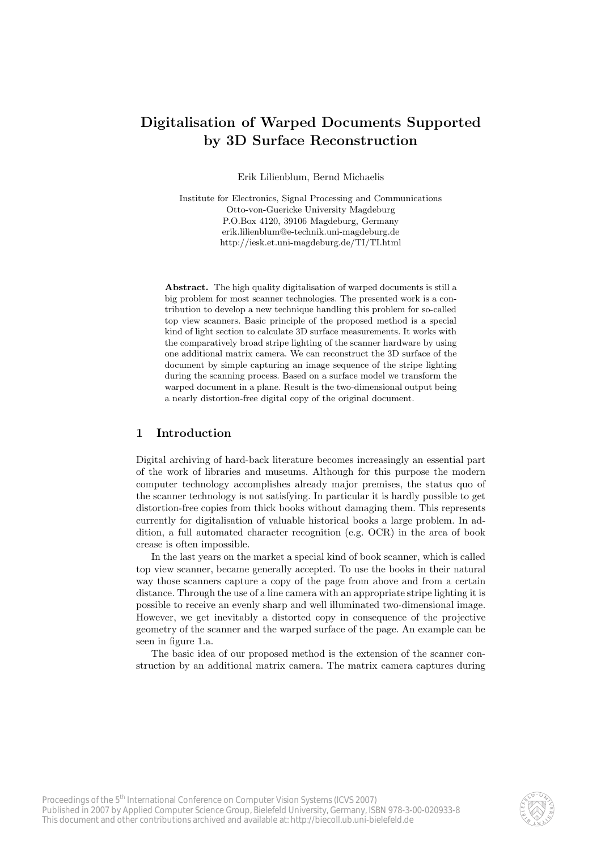# **Digitalisation of Warped Documents Supported by 3D Surface Reconstruction**

Erik Lilienblum, Bernd Michaelis

Institute for Electronics, Signal Processing and Communications Otto-von-Guericke University Magdeburg P.O.Box 4120, 39106 Magdeburg, Germany erik.lilienblum@e-technik.uni-magdeburg.de http://iesk.et.uni-magdeburg.de/TI/TI.html

**Abstract.** The high quality digitalisation of warped documents is still a big problem for most scanner technologies. The presented work is a contribution to develop a new technique handling this problem for so-called top view scanners. Basic principle of the proposed method is a special kind of light section to calculate 3D surface measurements. It works with the comparatively broad stripe lighting of the scanner hardware by using one additional matrix camera. We can reconstruct the 3D surface of the document by simple capturing an image sequence of the stripe lighting during the scanning process. Based on a surface model we transform the warped document in a plane. Result is the two-dimensional output being a nearly distortion-free digital copy of the original document.

#### **1 Introduction**

Digital archiving of hard-back literature becomes increasingly an essential part of the work of libraries and museums. Although for this purpose the modern computer technology accomplishes already major premises, the status quo of the scanner technology is not satisfying. In particular it is hardly possible to get distortion-free copies from thick books without damaging them. This represents currently for digitalisation of valuable historical books a large problem. In addition, a full automated character recognition (e.g. OCR) in the area of book crease is often impossible.

In the last years on the market a special kind of book scanner, which is called top view scanner, became generally accepted. To use the books in their natural way those scanners capture a copy of the page from above and from a certain distance. Through the use of a line camera with an appropriate stripe lighting it is possible to receive an evenly sharp and well illuminated two-dimensional image. However, we get inevitably a distorted copy in consequence of the projective geometry of the scanner and the warped surface of the page. An example can be seen in figure 1.a.

The basic idea of our proposed method is the extension of the scanner construction by an additional matrix camera. The matrix camera captures during

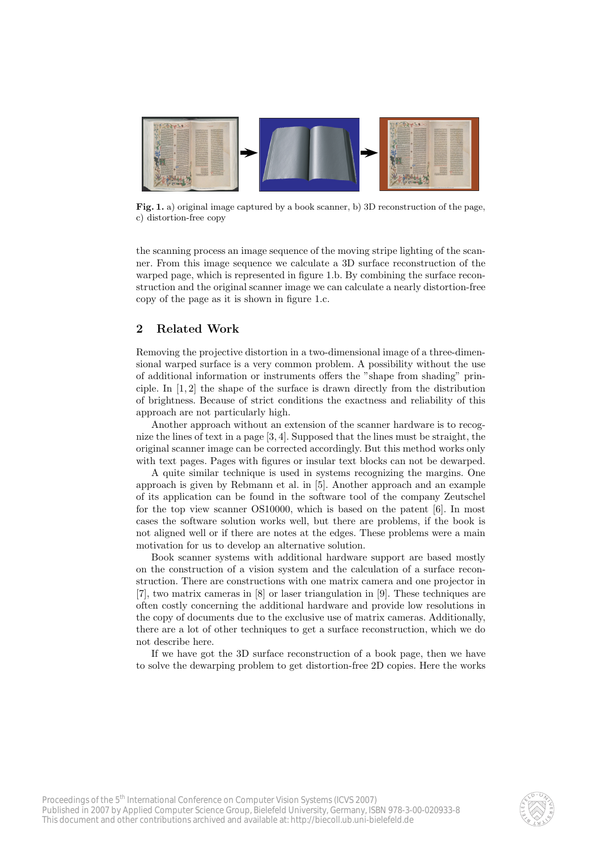

**Fig. 1.** a) original image captured by a book scanner, b) 3D reconstruction of the page, c) distortion-free copy

the scanning process an image sequence of the moving stripe lighting of the scanner. From this image sequence we calculate a 3D surface reconstruction of the warped page, which is represented in figure 1.b. By combining the surface reconstruction and the original scanner image we can calculate a nearly distortion-free copy of the page as it is shown in figure 1.c.

# **2 Related Work**

Removing the projective distortion in a two-dimensional image of a three-dimensional warped surface is a very common problem. A possibility without the use of additional information or instruments offers the "shape from shading" principle. In [1, 2] the shape of the surface is drawn directly from the distribution of brightness. Because of strict conditions the exactness and reliability of this approach are not particularly high.

Another approach without an extension of the scanner hardware is to recognize the lines of text in a page [3, 4]. Supposed that the lines must be straight, the original scanner image can be corrected accordingly. But this method works only with text pages. Pages with figures or insular text blocks can not be dewarped.

A quite similar technique is used in systems recognizing the margins. One approach is given by Rebmann et al. in [5]. Another approach and an example of its application can be found in the software tool of the company Zeutschel for the top view scanner OS10000, which is based on the patent [6]. In most cases the software solution works well, but there are problems, if the book is not aligned well or if there are notes at the edges. These problems were a main motivation for us to develop an alternative solution.

Book scanner systems with additional hardware support are based mostly on the construction of a vision system and the calculation of a surface reconstruction. There are constructions with one matrix camera and one projector in [7], two matrix cameras in [8] or laser triangulation in [9]. These techniques are often costly concerning the additional hardware and provide low resolutions in the copy of documents due to the exclusive use of matrix cameras. Additionally, there are a lot of other techniques to get a surface reconstruction, which we do not describe here.

If we have got the 3D surface reconstruction of a book page, then we have to solve the dewarping problem to get distortion-free 2D copies. Here the works

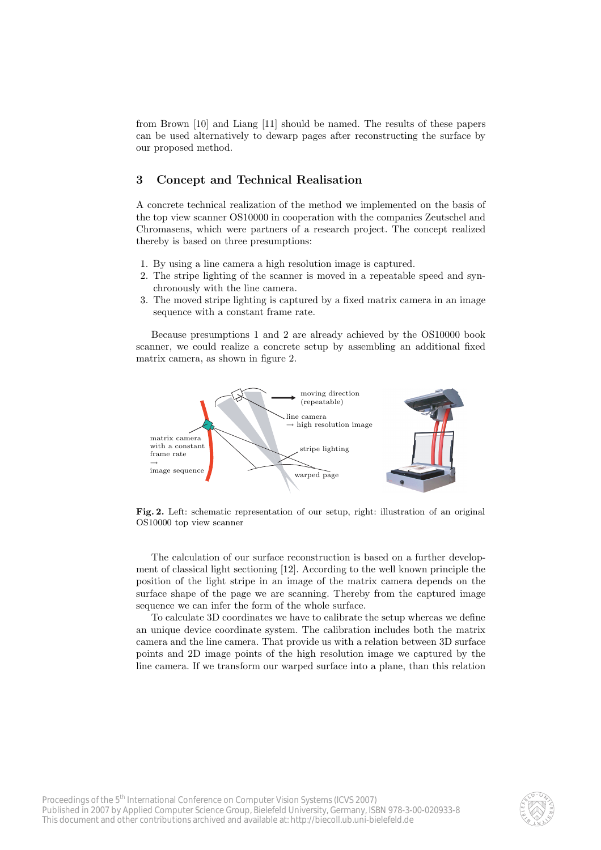from Brown [10] and Liang [11] should be named. The results of these papers can be used alternatively to dewarp pages after reconstructing the surface by our proposed method.

#### **3 Concept and Technical Realisation**

A concrete technical realization of the method we implemented on the basis of the top view scanner OS10000 in cooperation with the companies Zeutschel and Chromasens, which were partners of a research project. The concept realized thereby is based on three presumptions:

- 1. By using a line camera a high resolution image is captured.
- 2. The stripe lighting of the scanner is moved in a repeatable speed and synchronously with the line camera.
- 3. The moved stripe lighting is captured by a fixed matrix camera in an image sequence with a constant frame rate.

Because presumptions 1 and 2 are already achieved by the OS10000 book scanner, we could realize a concrete setup by assembling an additional fixed matrix camera, as shown in figure 2.



**Fig. 2.** Left: schematic representation of our setup, right: illustration of an original OS10000 top view scanner

The calculation of our surface reconstruction is based on a further development of classical light sectioning [12]. According to the well known principle the position of the light stripe in an image of the matrix camera depends on the surface shape of the page we are scanning. Thereby from the captured image sequence we can infer the form of the whole surface.

To calculate 3D coordinates we have to calibrate the setup whereas we define an unique device coordinate system. The calibration includes both the matrix camera and the line camera. That provide us with a relation between 3D surface points and 2D image points of the high resolution image we captured by the line camera. If we transform our warped surface into a plane, than this relation

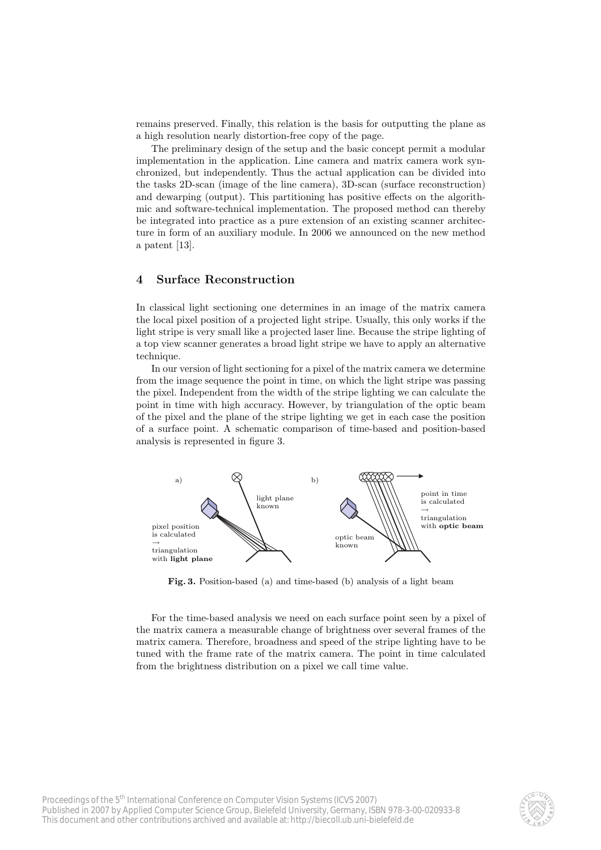remains preserved. Finally, this relation is the basis for outputting the plane as a high resolution nearly distortion-free copy of the page.

The preliminary design of the setup and the basic concept permit a modular implementation in the application. Line camera and matrix camera work synchronized, but independently. Thus the actual application can be divided into the tasks 2D-scan (image of the line camera), 3D-scan (surface reconstruction) and dewarping (output). This partitioning has positive effects on the algorithmic and software-technical implementation. The proposed method can thereby be integrated into practice as a pure extension of an existing scanner architecture in form of an auxiliary module. In 2006 we announced on the new method a patent [13].

## **4 Surface Reconstruction**

In classical light sectioning one determines in an image of the matrix camera the local pixel position of a projected light stripe. Usually, this only works if the light stripe is very small like a projected laser line. Because the stripe lighting of a top view scanner generates a broad light stripe we have to apply an alternative technique.

In our version of light sectioning for a pixel of the matrix camera we determine from the image sequence the point in time, on which the light stripe was passing the pixel. Independent from the width of the stripe lighting we can calculate the point in time with high accuracy. However, by triangulation of the optic beam of the pixel and the plane of the stripe lighting we get in each case the position of a surface point. A schematic comparison of time-based and position-based analysis is represented in figure 3.



**Fig. 3.** Position-based (a) and time-based (b) analysis of a light beam

For the time-based analysis we need on each surface point seen by a pixel of the matrix camera a measurable change of brightness over several frames of the matrix camera. Therefore, broadness and speed of the stripe lighting have to be tuned with the frame rate of the matrix camera. The point in time calculated from the brightness distribution on a pixel we call time value.

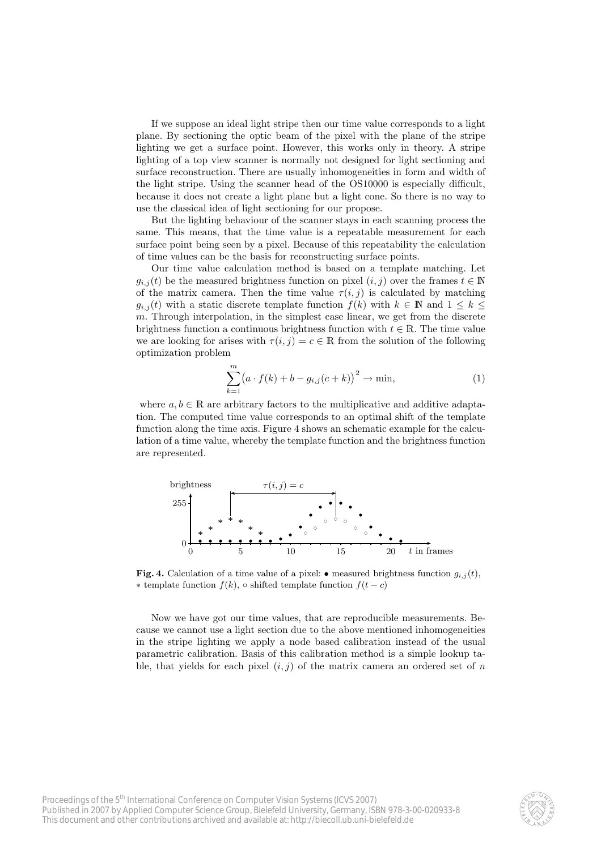If we suppose an ideal light stripe then our time value corresponds to a light plane. By sectioning the optic beam of the pixel with the plane of the stripe lighting we get a surface point. However, this works only in theory. A stripe lighting of a top view scanner is normally not designed for light sectioning and surface reconstruction. There are usually inhomogeneities in form and width of the light stripe. Using the scanner head of the OS10000 is especially difficult, because it does not create a light plane but a light cone. So there is no way to use the classical idea of light sectioning for our propose.

But the lighting behaviour of the scanner stays in each scanning process the same. This means, that the time value is a repeatable measurement for each surface point being seen by a pixel. Because of this repeatability the calculation of time values can be the basis for reconstructing surface points.

Our time value calculation method is based on a template matching. Let  $g_{i,j}(t)$  be the measured brightness function on pixel  $(i, j)$  over the frames  $t \in \mathbb{N}$ of the matrix camera. Then the time value  $\tau(i, j)$  is calculated by matching  $g_{i,j}(t)$  with a static discrete template function  $f(k)$  with  $k \in \mathbb{N}$  and  $1 \leq k \leq$ m. Through interpolation, in the simplest case linear, we get from the discrete brightness function a continuous brightness function with  $t \in \mathbb{R}$ . The time value we are looking for arises with  $\tau(i, j) = c \in \mathbb{R}$  from the solution of the following optimization problem

$$
\sum_{k=1}^{m} (a \cdot f(k) + b - g_{i,j}(c+k))^{2} \to \min,
$$
\n(1)

where  $a, b \in \mathbb{R}$  are arbitrary factors to the multiplicative and additive adaptation. The computed time value corresponds to an optimal shift of the template function along the time axis. Figure 4 shows an schematic example for the calculation of a time value, whereby the template function and the brightness function are represented.



**Fig. 4.** Calculation of a time value of a pixel:  $\bullet$  measured brightness function  $g_{i,j}(t)$ , ∗ template function  $f(k)$ , ◦ shifted template function  $f(t - c)$ 

Now we have got our time values, that are reproducible measurements. Because we cannot use a light section due to the above mentioned inhomogeneities in the stripe lighting we apply a node based calibration instead of the usual parametric calibration. Basis of this calibration method is a simple lookup table, that yields for each pixel  $(i, j)$  of the matrix camera an ordered set of n

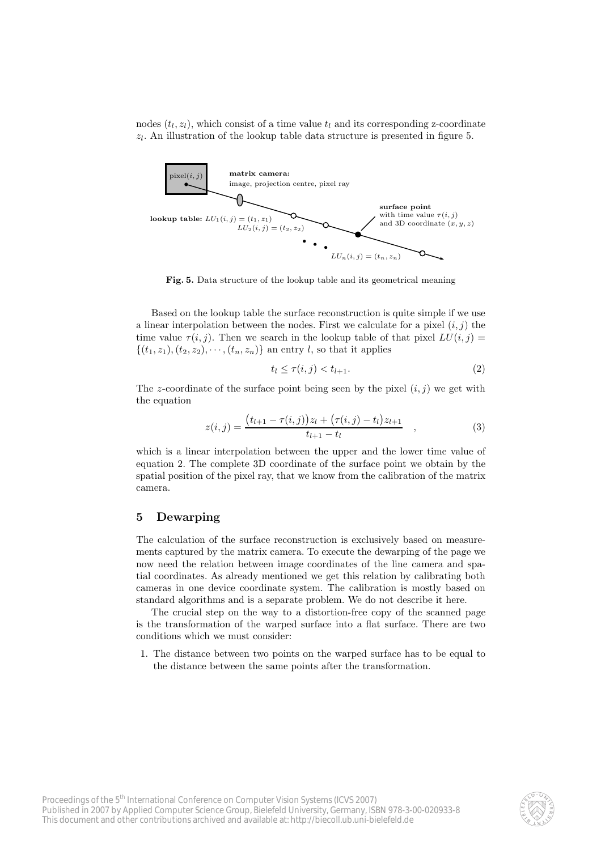nodes  $(t_1, z_1)$ , which consist of a time value  $t_1$  and its corresponding z-coordinate  $z_l$ . An illustration of the lookup table data structure is presented in figure 5.



**Fig. 5.** Data structure of the lookup table and its geometrical meaning

Based on the lookup table the surface reconstruction is quite simple if we use a linear interpolation between the nodes. First we calculate for a pixel  $(i, j)$  the time value  $\tau(i, j)$ . Then we search in the lookup table of that pixel  $LU(i, j)$  =  $\{(t_1, z_1), (t_2, z_2), \cdots, (t_n, z_n)\}\$ an entry l, so that it applies

$$
t_l \le \tau(i,j) < t_{l+1}.\tag{2}
$$

The z-coordinate of the surface point being seen by the pixel  $(i, j)$  we get with the equation

$$
z(i,j) = \frac{(t_{l+1} - \tau(i,j))z_l + (\tau(i,j) - t_l)z_{l+1}}{t_{l+1} - t_l} \quad , \tag{3}
$$

which is a linear interpolation between the upper and the lower time value of equation 2. The complete 3D coordinate of the surface point we obtain by the spatial position of the pixel ray, that we know from the calibration of the matrix camera.

#### **5 Dewarping**

The calculation of the surface reconstruction is exclusively based on measurements captured by the matrix camera. To execute the dewarping of the page we now need the relation between image coordinates of the line camera and spatial coordinates. As already mentioned we get this relation by calibrating both cameras in one device coordinate system. The calibration is mostly based on standard algorithms and is a separate problem. We do not describe it here.

The crucial step on the way to a distortion-free copy of the scanned page is the transformation of the warped surface into a flat surface. There are two conditions which we must consider:

1. The distance between two points on the warped surface has to be equal to the distance between the same points after the transformation.

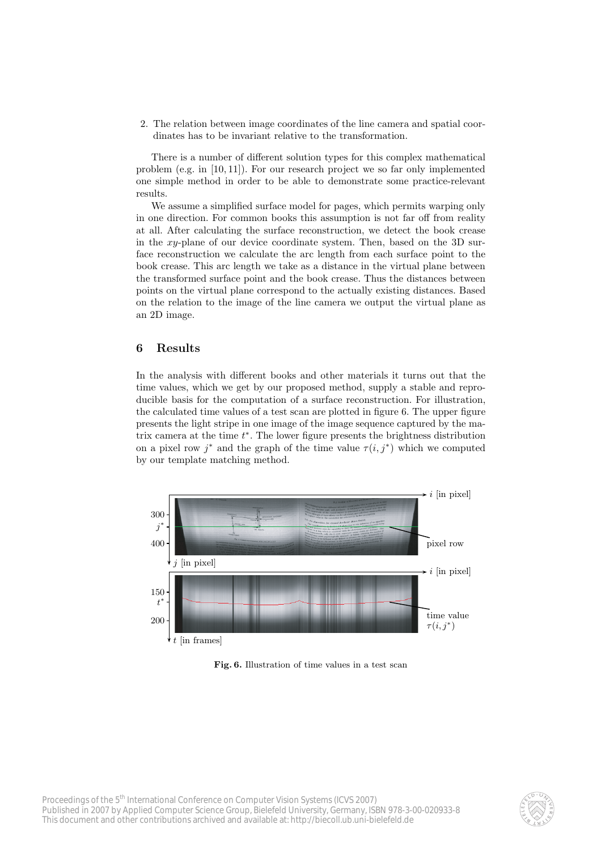2. The relation between image coordinates of the line camera and spatial coordinates has to be invariant relative to the transformation.

There is a number of different solution types for this complex mathematical problem (e.g. in [10, 11]). For our research project we so far only implemented one simple method in order to be able to demonstrate some practice-relevant results.

We assume a simplified surface model for pages, which permits warping only in one direction. For common books this assumption is not far off from reality at all. After calculating the surface reconstruction, we detect the book crease in the xy-plane of our device coordinate system. Then, based on the 3D surface reconstruction we calculate the arc length from each surface point to the book crease. This arc length we take as a distance in the virtual plane between the transformed surface point and the book crease. Thus the distances between points on the virtual plane correspond to the actually existing distances. Based on the relation to the image of the line camera we output the virtual plane as an 2D image.

## **6 Results**

In the analysis with different books and other materials it turns out that the time values, which we get by our proposed method, supply a stable and reproducible basis for the computation of a surface reconstruction. For illustration, the calculated time values of a test scan are plotted in figure 6. The upper figure presents the light stripe in one image of the image sequence captured by the matrix camera at the time <sup>t</sup><sup>∗</sup>. The lower figure presents the brightness distribution on a pixel row j<sup>\*</sup> and the graph of the time value  $\tau(i, j^*)$  which we computed by our template matching method.



**Fig. 6.** Illustration of time values in a test scan

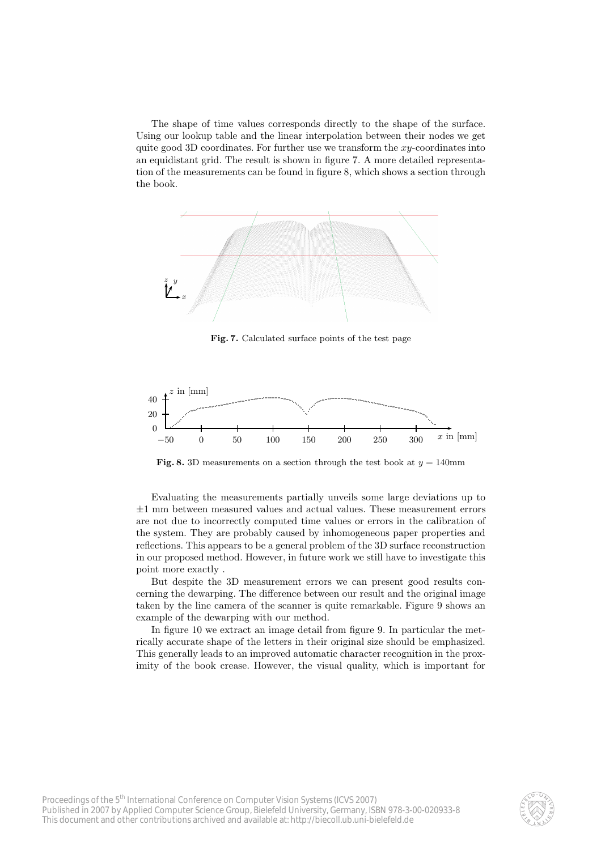The shape of time values corresponds directly to the shape of the surface. Using our lookup table and the linear interpolation between their nodes we get quite good 3D coordinates. For further use we transform the  $xy$ -coordinates into an equidistant grid. The result is shown in figure 7. A more detailed representation of the measurements can be found in figure 8, which shows a section through the book.



**Fig. 7.** Calculated surface points of the test page



**Fig. 8.** 3D measurements on a section through the test book at  $y = 140$ mm

Evaluating the measurements partially unveils some large deviations up to  $\pm 1$  mm between measured values and actual values. These measurement errors are not due to incorrectly computed time values or errors in the calibration of the system. They are probably caused by inhomogeneous paper properties and reflections. This appears to be a general problem of the 3D surface reconstruction in our proposed method. However, in future work we still have to investigate this point more exactly .

But despite the 3D measurement errors we can present good results concerning the dewarping. The difference between our result and the original image taken by the line camera of the scanner is quite remarkable. Figure 9 shows an example of the dewarping with our method.

In figure 10 we extract an image detail from figure 9. In particular the metrically accurate shape of the letters in their original size should be emphasized. This generally leads to an improved automatic character recognition in the proximity of the book crease. However, the visual quality, which is important for

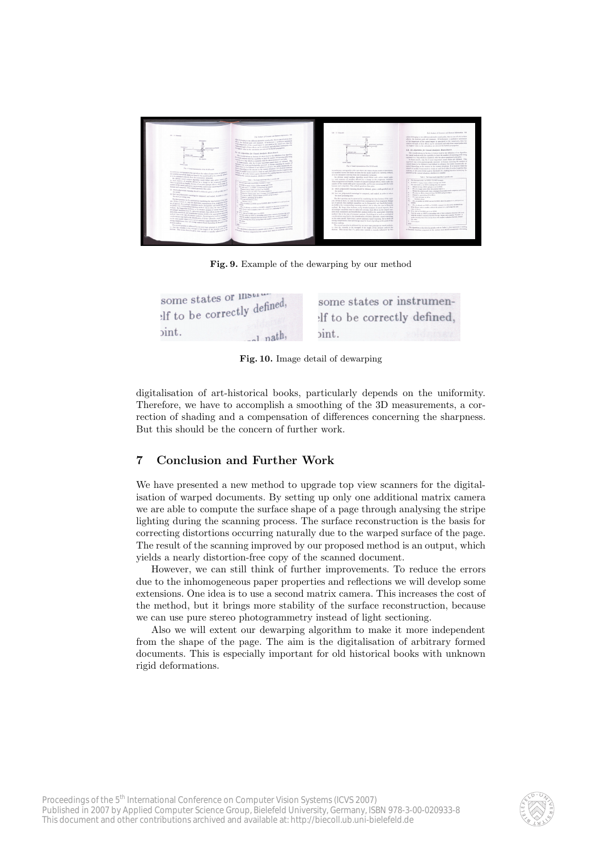

**Fig. 9.** Example of the dewarping by our method

| some states or Illsure      | some states or instrumen-    |
|-----------------------------|------------------------------|
| If to be correctly defined, | elf to be correctly defined, |
| $\sin t.$<br>$-$ l nath,    | $\sin t$ .                   |

**Fig. 10.** Image detail of dewarping

digitalisation of art-historical books, particularly depends on the uniformity. Therefore, we have to accomplish a smoothing of the 3D measurements, a correction of shading and a compensation of differences concerning the sharpness. But this should be the concern of further work.

# **7 Conclusion and Further Work**

We have presented a new method to upgrade top view scanners for the digitalisation of warped documents. By setting up only one additional matrix camera we are able to compute the surface shape of a page through analysing the stripe lighting during the scanning process. The surface reconstruction is the basis for correcting distortions occurring naturally due to the warped surface of the page. The result of the scanning improved by our proposed method is an output, which yields a nearly distortion-free copy of the scanned document.

However, we can still think of further improvements. To reduce the errors due to the inhomogeneous paper properties and reflections we will develop some extensions. One idea is to use a second matrix camera. This increases the cost of the method, but it brings more stability of the surface reconstruction, because we can use pure stereo photogrammetry instead of light sectioning.

Also we will extent our dewarping algorithm to make it more independent from the shape of the page. The aim is the digitalisation of arbitrary formed documents. This is especially important for old historical books with unknown rigid deformations.